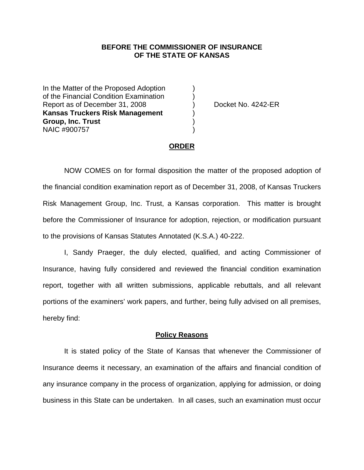## **BEFORE THE COMMISSIONER OF INSURANCE OF THE STATE OF KANSAS**

In the Matter of the Proposed Adoption of the Financial Condition Examination ) Report as of December 31, 2008 (a) Docket No. 4242-ER **Kansas Truckers Risk Management** ) **Group, Inc. Trust** ) NAIC #900757 )

### **ORDER**

 NOW COMES on for formal disposition the matter of the proposed adoption of the financial condition examination report as of December 31, 2008, of Kansas Truckers Risk Management Group, Inc. Trust, a Kansas corporation. This matter is brought before the Commissioner of Insurance for adoption, rejection, or modification pursuant to the provisions of Kansas Statutes Annotated (K.S.A.) 40-222.

 I, Sandy Praeger, the duly elected, qualified, and acting Commissioner of Insurance, having fully considered and reviewed the financial condition examination report, together with all written submissions, applicable rebuttals, and all relevant portions of the examiners' work papers, and further, being fully advised on all premises, hereby find:

### **Policy Reasons**

 It is stated policy of the State of Kansas that whenever the Commissioner of Insurance deems it necessary, an examination of the affairs and financial condition of any insurance company in the process of organization, applying for admission, or doing business in this State can be undertaken. In all cases, such an examination must occur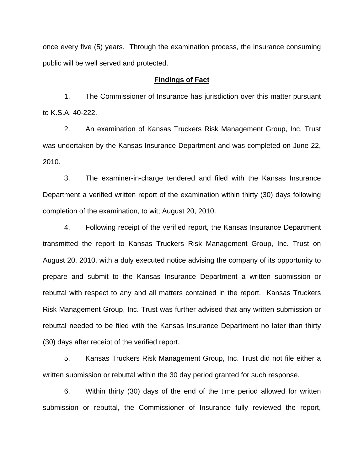once every five (5) years. Through the examination process, the insurance consuming public will be well served and protected.

### **Findings of Fact**

 1. The Commissioner of Insurance has jurisdiction over this matter pursuant to K.S.A. 40-222.

 2. An examination of Kansas Truckers Risk Management Group, Inc. Trust was undertaken by the Kansas Insurance Department and was completed on June 22, 2010.

 3. The examiner-in-charge tendered and filed with the Kansas Insurance Department a verified written report of the examination within thirty (30) days following completion of the examination, to wit; August 20, 2010.

 4. Following receipt of the verified report, the Kansas Insurance Department transmitted the report to Kansas Truckers Risk Management Group, Inc. Trust on August 20, 2010, with a duly executed notice advising the company of its opportunity to prepare and submit to the Kansas Insurance Department a written submission or rebuttal with respect to any and all matters contained in the report. Kansas Truckers Risk Management Group, Inc. Trust was further advised that any written submission or rebuttal needed to be filed with the Kansas Insurance Department no later than thirty (30) days after receipt of the verified report.

 5. Kansas Truckers Risk Management Group, Inc. Trust did not file either a written submission or rebuttal within the 30 day period granted for such response.

 6. Within thirty (30) days of the end of the time period allowed for written submission or rebuttal, the Commissioner of Insurance fully reviewed the report,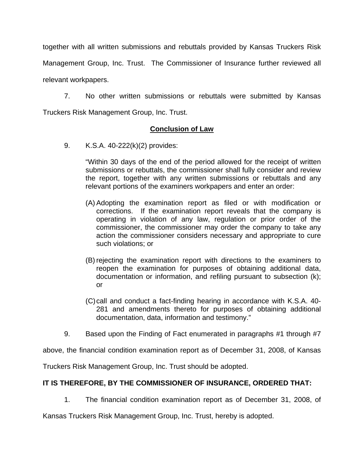together with all written submissions and rebuttals provided by Kansas Truckers Risk

Management Group, Inc. Trust. The Commissioner of Insurance further reviewed all

relevant workpapers.

 7. No other written submissions or rebuttals were submitted by Kansas Truckers Risk Management Group, Inc. Trust.

# **Conclusion of Law**

9. K.S.A. 40-222(k)(2) provides:

"Within 30 days of the end of the period allowed for the receipt of written submissions or rebuttals, the commissioner shall fully consider and review the report, together with any written submissions or rebuttals and any relevant portions of the examiners workpapers and enter an order:

- (A) Adopting the examination report as filed or with modification or corrections. If the examination report reveals that the company is operating in violation of any law, regulation or prior order of the commissioner, the commissioner may order the company to take any action the commissioner considers necessary and appropriate to cure such violations; or
- (B) rejecting the examination report with directions to the examiners to reopen the examination for purposes of obtaining additional data, documentation or information, and refiling pursuant to subsection (k); or
- (C) call and conduct a fact-finding hearing in accordance with K.S.A. 40- 281 and amendments thereto for purposes of obtaining additional documentation, data, information and testimony."
- 9. Based upon the Finding of Fact enumerated in paragraphs #1 through #7

above, the financial condition examination report as of December 31, 2008, of Kansas

Truckers Risk Management Group, Inc. Trust should be adopted.

# **IT IS THEREFORE, BY THE COMMISSIONER OF INSURANCE, ORDERED THAT:**

1. The financial condition examination report as of December 31, 2008, of

Kansas Truckers Risk Management Group, Inc. Trust, hereby is adopted.